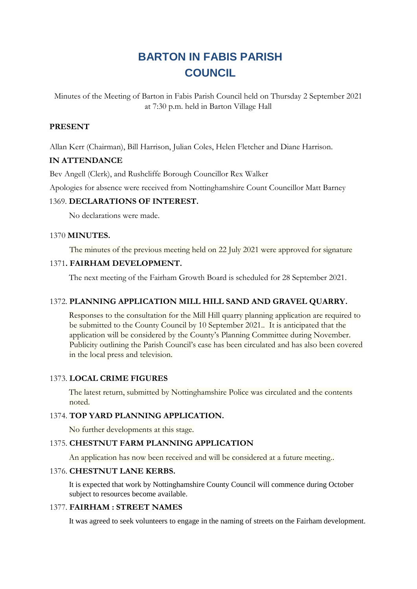# **BARTON IN FABIS PARISH COUNCIL**

Minutes of the Meeting of Barton in Fabis Parish Council held on Thursday 2 September 2021 at 7:30 p.m. held in Barton Village Hall

## **PRESENT**

Allan Kerr (Chairman), Bill Harrison, Julian Coles, Helen Fletcher and Diane Harrison.

## **IN ATTENDANCE**

Bev Angell (Clerk), and Rushcliffe Borough Councillor Rex Walker

Apologies for absence were received from Nottinghamshire Count Councillor Matt Barney

#### 1369. **DECLARATIONS OF INTEREST.**

No declarations were made.

#### 1370 **MINUTES.**

The minutes of the previous meeting held on 22 July 2021 were approved for signature

#### 1371**. FAIRHAM DEVELOPMENT.**

The next meeting of the Fairham Growth Board is scheduled for 28 September 2021.

#### 1372. **PLANNING APPLICATION MILL HILL SAND AND GRAVEL QUARRY.**

Responses to the consultation for the Mill Hill quarry planning application are required to be submitted to the County Council by 10 September 2021.. It is anticipated that the application will be considered by the County's Planning Committee during November. Publicity outlining the Parish Council's case has been circulated and has also been covered in the local press and television.

#### 1373. **LOCAL CRIME FIGURES**

The latest return, submitted by Nottinghamshire Police was circulated and the contents noted.

#### 1374. **TOP YARD PLANNING APPLICATION.**

No further developments at this stage.

### 1375. **CHESTNUT FARM PLANNING APPLICATION**

An application has now been received and will be considered at a future meeting..

## 1376. **CHESTNUT LANE KERBS.**

It is expected that work by Nottinghamshire County Council will commence during October subject to resources become available.

#### 1377. **FAIRHAM : STREET NAMES**

It was agreed to seek volunteers to engage in the naming of streets on the Fairham development.